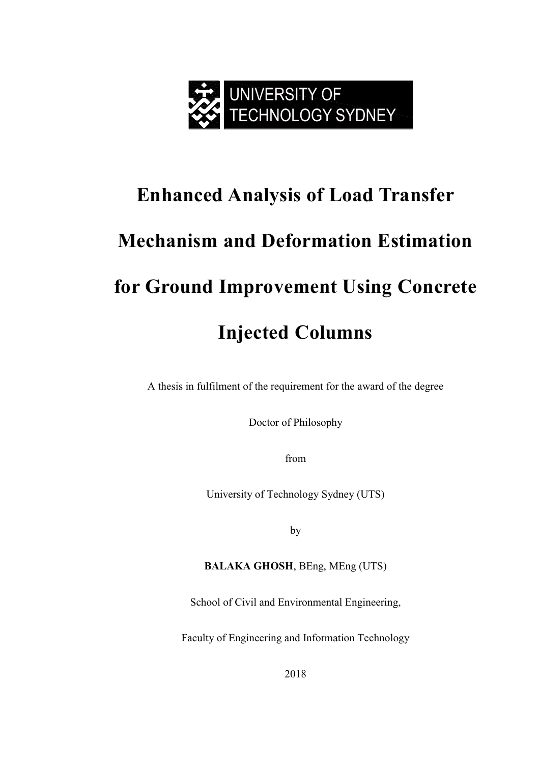

# **Enhanced Analysis of Load Transfer Mechanism and Deformation Estimation for Ground Improvement Using Concrete Injected Columns**

A thesis in fulfilment of the requirement for the award of the degree

Doctor of Philosophy

from

University of Technology Sydney (UTS)

by

**BALAKA GHOSH**, BEng, MEng (UTS)

School of Civil and Environmental Engineering,

Faculty of Engineering and Information Technology

2018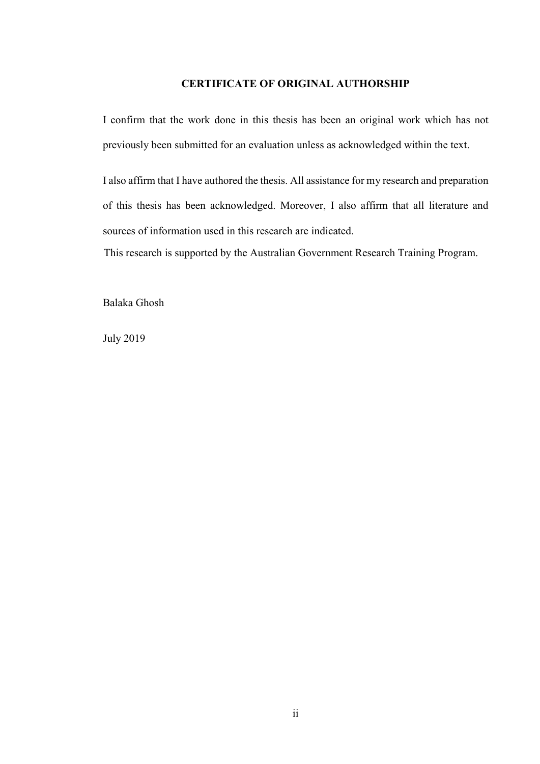#### **CERTIFICATE OF ORIGINAL AUTHORSHIP**

I confirm that the work done in this thesis has been an original work which has not previously been submitted for an evaluation unless as acknowledged within the text.

I also affirm that I have authored the thesis. All assistance for my research and preparation of this thesis has been acknowledged. Moreover, I also affirm that all literature and sources of information used in this research are indicated.

This research is supported by the Australian Government Research Training Program.

Balaka Ghosh

July 2019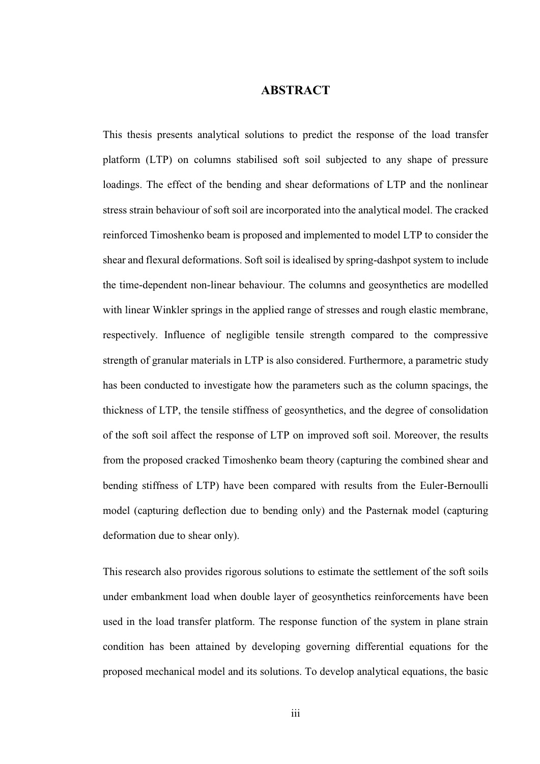### **ABSTRACT**

<span id="page-2-0"></span>This thesis presents analytical solutions to predict the response of the load transfer platform (LTP) on columns stabilised soft soil subjected to any shape of pressure loadings. The effect of the bending and shear deformations of LTP and the nonlinear stress strain behaviour of soft soil are incorporated into the analytical model. The cracked reinforced Timoshenko beam is proposed and implemented to model LTP to consider the shear and flexural deformations. Soft soil is idealised by spring-dashpot system to include the time-dependent non-linear behaviour. The columns and geosynthetics are modelled with linear Winkler springs in the applied range of stresses and rough elastic membrane, respectively. Influence of negligible tensile strength compared to the compressive strength of granular materials in LTP is also considered. Furthermore, a parametric study has been conducted to investigate how the parameters such as the column spacings, the thickness of LTP, the tensile stiffness of geosynthetics, and the degree of consolidation of the soft soil affect the response of LTP on improved soft soil. Moreover, the results from the proposed cracked Timoshenko beam theory (capturing the combined shear and bending stiffness of LTP) have been compared with results from the Euler-Bernoulli model (capturing deflection due to bending only) and the Pasternak model (capturing deformation due to shear only).

This research also provides rigorous solutions to estimate the settlement of the soft soils under embankment load when double layer of geosynthetics reinforcements have been used in the load transfer platform. The response function of the system in plane strain condition has been attained by developing governing differential equations for the proposed mechanical model and its solutions. To develop analytical equations, the basic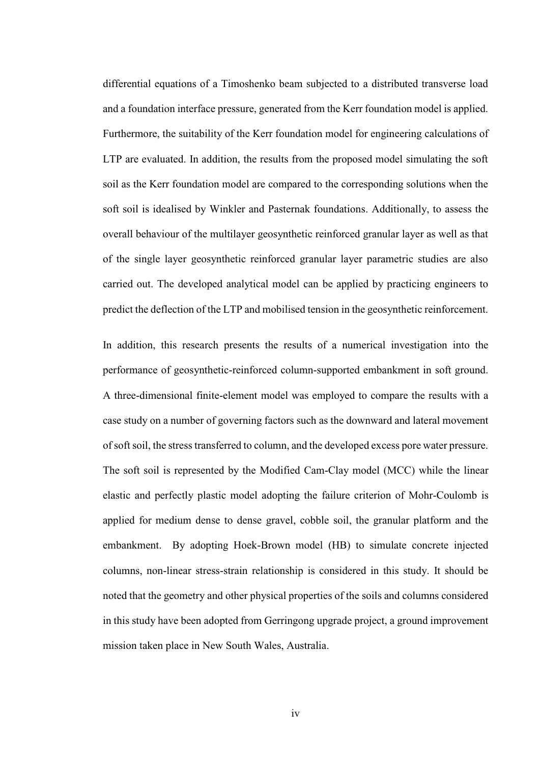differential equations of a Timoshenko beam subjected to a distributed transverse load and a foundation interface pressure, generated from the Kerr foundation model is applied. Furthermore, the suitability of the Kerr foundation model for engineering calculations of LTP are evaluated. In addition, the results from the proposed model simulating the soft soil as the Kerr foundation model are compared to the corresponding solutions when the soft soil is idealised by Winkler and Pasternak foundations. Additionally, to assess the overall behaviour of the multilayer geosynthetic reinforced granular layer as well as that of the single layer geosynthetic reinforced granular layer parametric studies are also carried out. The developed analytical model can be applied by practicing engineers to predict the deflection of the LTP and mobilised tension in the geosynthetic reinforcement.

In addition, this research presents the results of a numerical investigation into the performance of geosynthetic-reinforced column-supported embankment in soft ground. A three-dimensional finite-element model was employed to compare the results with a case study on a number of governing factors such as the downward and lateral movement of soft soil, the stress transferred to column, and the developed excess pore water pressure. The soft soil is represented by the Modified Cam-Clay model (MCC) while the linear elastic and perfectly plastic model adopting the failure criterion of Mohr-Coulomb is applied for medium dense to dense gravel, cobble soil, the granular platform and the embankment. By adopting Hoek-Brown model (HB) to simulate concrete injected columns, non-linear stress-strain relationship is considered in this study. It should be noted that the geometry and other physical properties of the soils and columns considered in this study have been adopted from Gerringong upgrade project, a ground improvement mission taken place in New South Wales, Australia.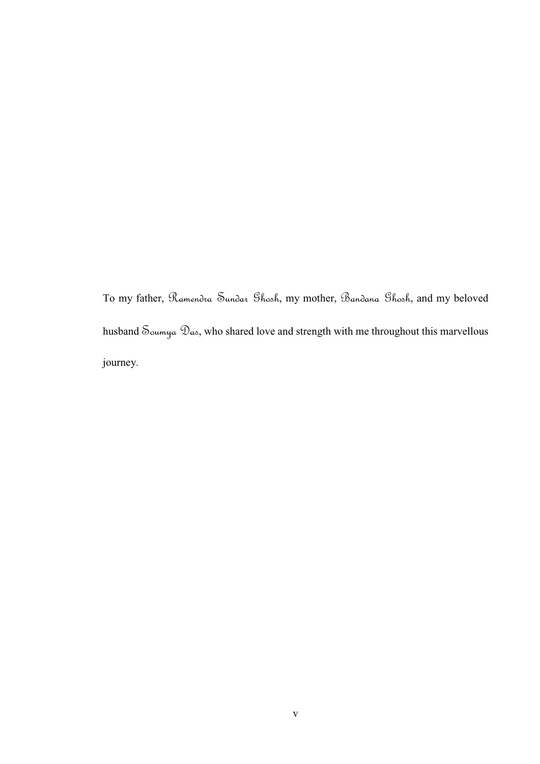To my father, Ramendra Sundar Ghosh, my mother, Bandana Ghosh, and my beloved husband  $\mathcal S_{\text{oumya}}$   $\mathcal D_{\text{ao}}$ , who shared love and strength with me throughout this marvellous journey.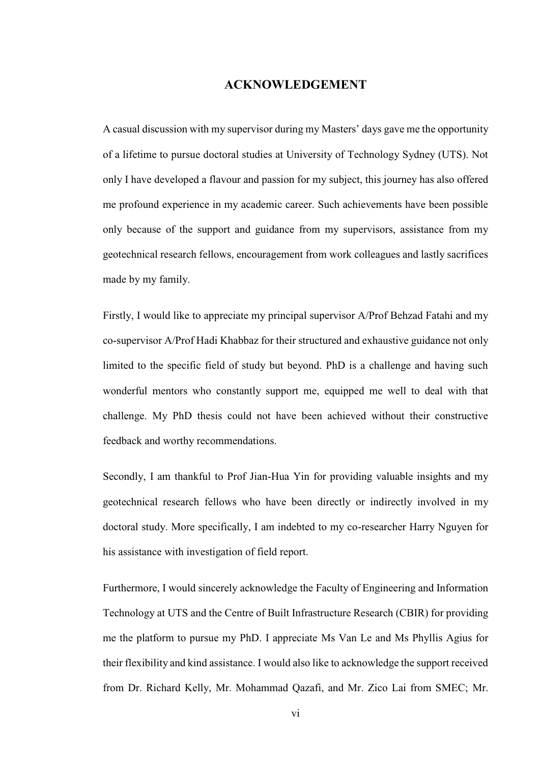## **ACKNOWLEDGEMENT**

<span id="page-5-0"></span>A casual discussion with my supervisor during my Masters' days gave me the opportunity of a lifetime to pursue doctoral studies at University of Technology Sydney (UTS). Not only I have developed a flavour and passion for my subject, this journey has also offered me profound experience in my academic career. Such achievements have been possible only because of the support and guidance from my supervisors, assistance from my geotechnical research fellows, encouragement from work colleagues and lastly sacrifices made by my family.

Firstly, I would like to appreciate my principal supervisor A/Prof Behzad Fatahi and my co-supervisor A/Prof Hadi Khabbaz for their structured and exhaustive guidance not only limited to the specific field of study but beyond. PhD is a challenge and having such wonderful mentors who constantly support me, equipped me well to deal with that challenge. My PhD thesis could not have been achieved without their constructive feedback and worthy recommendations.

Secondly, I am thankful to Prof Jian-Hua Yin for providing valuable insights and my geotechnical research fellows who have been directly or indirectly involved in my doctoral study. More specifically, I am indebted to my co-researcher Harry Nguyen for his assistance with investigation of field report.

Furthermore, I would sincerely acknowledge the Faculty of Engineering and Information Technology at UTS and the Centre of Built Infrastructure Research (CBIR) for providing me the platform to pursue my PhD. I appreciate Ms Van Le and Ms Phyllis Agius for their flexibility and kind assistance. I would also like to acknowledge the support received from Dr. Richard Kelly, Mr. Mohammad Qazafi, and Mr. Zico Lai from SMEC; Mr.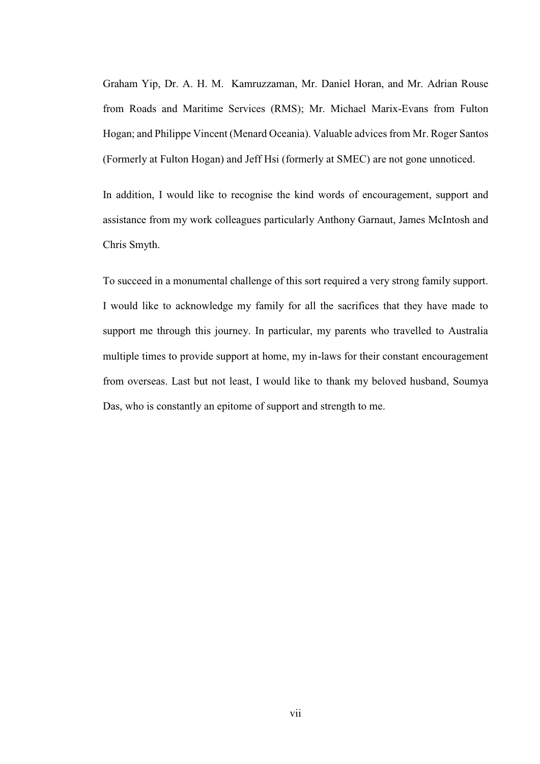Graham Yip, Dr. A. H. M. Kamruzzaman, Mr. Daniel Horan, and Mr. Adrian Rouse from Roads and Maritime Services (RMS); Mr. Michael Marix-Evans from Fulton Hogan; and Philippe Vincent (Menard Oceania). Valuable advices from Mr. Roger Santos (Formerly at Fulton Hogan) and Jeff Hsi (formerly at SMEC) are not gone unnoticed.

In addition, I would like to recognise the kind words of encouragement, support and assistance from my work colleagues particularly Anthony Garnaut, James McIntosh and Chris Smyth.

To succeed in a monumental challenge of this sort required a very strong family support. I would like to acknowledge my family for all the sacrifices that they have made to support me through this journey. In particular, my parents who travelled to Australia multiple times to provide support at home, my in-laws for their constant encouragement from overseas. Last but not least, I would like to thank my beloved husband, Soumya Das, who is constantly an epitome of support and strength to me.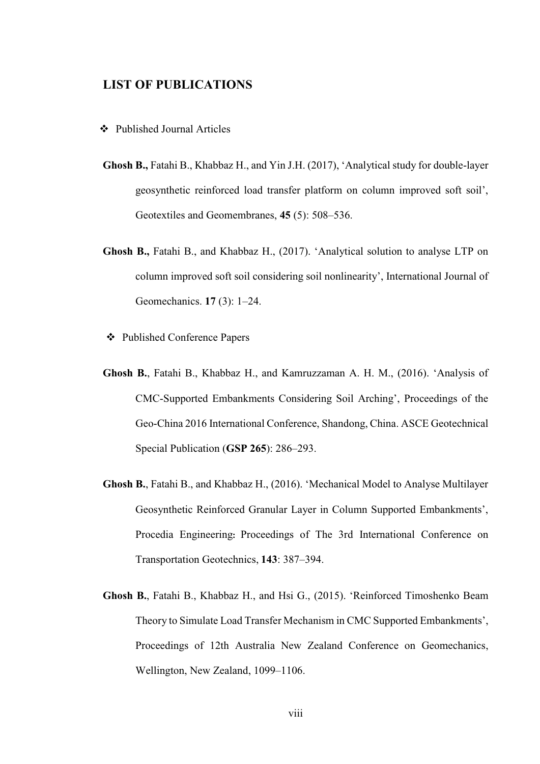## <span id="page-7-0"></span>**LIST OF PUBLICATIONS**

- ❖ Published Journal Articles
- **Ghosh B.,** Fatahi B., Khabbaz H., and Yin J.H. (2017), 'Analytical study for double-layer geosynthetic reinforced load transfer platform on column improved soft soil', Geotextiles and Geomembranes, **45** (5): 508–536.
- **Ghosh B.,** Fatahi B., and Khabbaz H., (2017). 'Analytical solution to analyse LTP on column improved soft soil considering soil nonlinearity', International Journal of Geomechanics. **17** (3): 1–24.
- ❖ Published Conference Papers
- **Ghosh B.**, Fatahi B., Khabbaz H., and Kamruzzaman A. H. M., (2016). 'Analysis of CMC-Supported Embankments Considering Soil Arching', Proceedings of the Geo-China 2016 International Conference, Shandong, China. ASCE Geotechnical Special Publication (**GSP 265**): 286–293.
- **Ghosh B.**, Fatahi B., and Khabbaz H., (2016). 'Mechanical Model to Analyse Multilayer Geosynthetic Reinforced Granular Layer in Column Supported Embankments', Procedia Engineering**:** Proceedings of The 3rd International Conference on Transportation Geotechnics, **143**: 387–394.
- **Ghosh B.**, Fatahi B., Khabbaz H., and Hsi G., (2015). 'Reinforced Timoshenko Beam Theory to Simulate Load Transfer Mechanism in CMC Supported Embankments', Proceedings of 12th Australia New Zealand Conference on Geomechanics, Wellington, New Zealand, 1099–1106.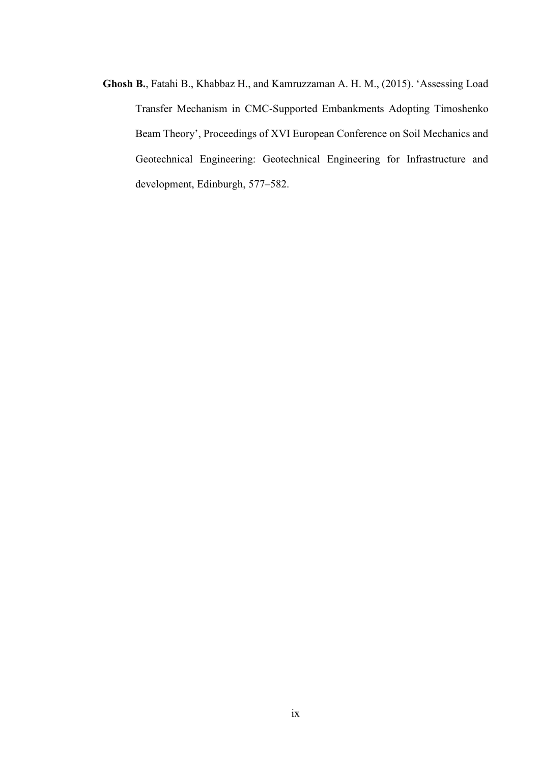**Ghosh B.**, Fatahi B., Khabbaz H., and Kamruzzaman A. H. M., (2015). 'Assessing Load Transfer Mechanism in CMC-Supported Embankments Adopting Timoshenko Beam Theory', Proceedings of XVI European Conference on Soil Mechanics and Geotechnical Engineering: Geotechnical Engineering for Infrastructure and development, Edinburgh, 577–582.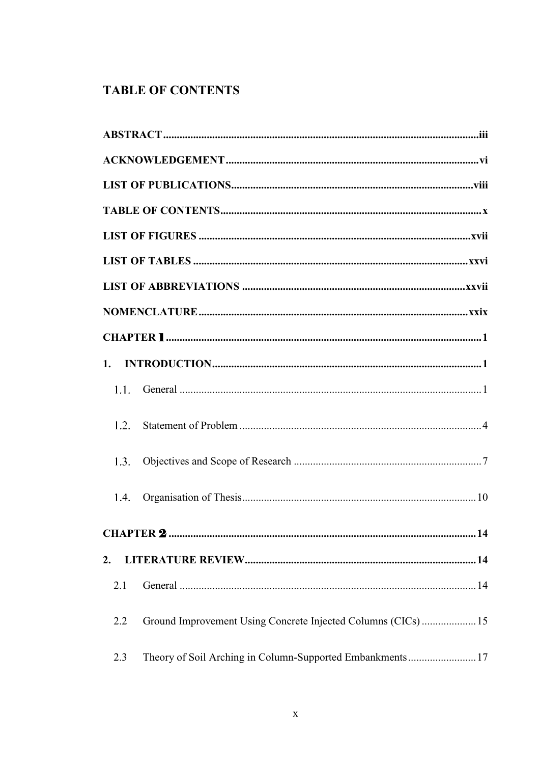# <span id="page-9-0"></span>**TABLE OF CONTENTS**

| 1.   |                                                              |
|------|--------------------------------------------------------------|
| 1.1. |                                                              |
| 1.2. |                                                              |
| 1.3. |                                                              |
| 1.4. |                                                              |
|      |                                                              |
| 2.   |                                                              |
| 2.1  |                                                              |
| 2.2  | Ground Improvement Using Concrete Injected Columns (CICs) 15 |
| 2.3  | Theory of Soil Arching in Column-Supported Embankments17     |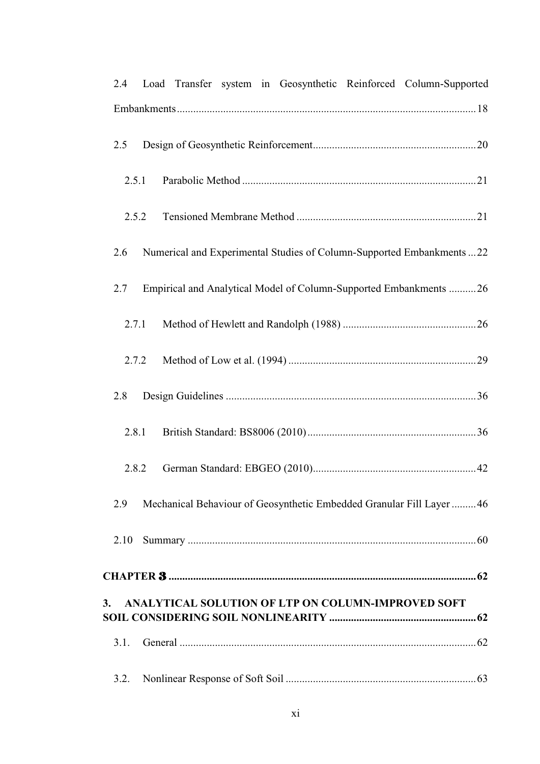| 2.4   | Load Transfer system in Geosynthetic Reinforced Column-Supported       |
|-------|------------------------------------------------------------------------|
|       |                                                                        |
| 2.5   |                                                                        |
| 2.5.1 |                                                                        |
| 2.5.2 |                                                                        |
| 2.6   | Numerical and Experimental Studies of Column-Supported Embankments  22 |
| 2.7   | Empirical and Analytical Model of Column-Supported Embankments 26      |
| 2.7.1 |                                                                        |
| 2.7.2 |                                                                        |
| 2.8   |                                                                        |
| 2.8.1 |                                                                        |
| 2.8.2 |                                                                        |
| 2.9   | Mechanical Behaviour of Geosynthetic Embedded Granular Fill Layer 46   |
| 2.10  |                                                                        |
|       |                                                                        |
| 3.    | ANALYTICAL SOLUTION OF LTP ON COLUMN-IMPROVED SOFT                     |
| 3.1.  |                                                                        |
| 3.2.  |                                                                        |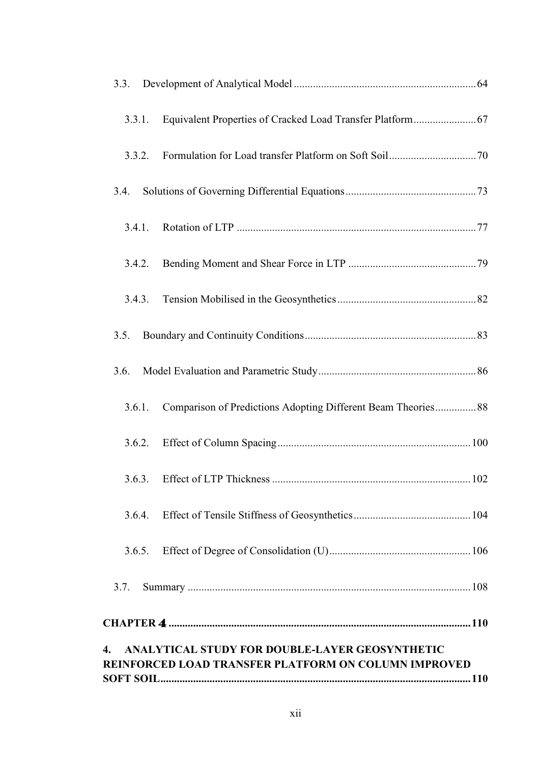| 3.3.   |                                                                                                        |
|--------|--------------------------------------------------------------------------------------------------------|
| 3.3.1. | Equivalent Properties of Cracked Load Transfer Platform 67                                             |
| 3.3.2. |                                                                                                        |
| 3.4.   |                                                                                                        |
| 3.4.1. |                                                                                                        |
| 3.4.2. |                                                                                                        |
| 3.4.3. |                                                                                                        |
| 3.5.   |                                                                                                        |
| 3.6.   |                                                                                                        |
| 3.6.1. | Comparison of Predictions Adopting Different Beam Theories 88                                          |
| 3.6.2. |                                                                                                        |
| 3.6.3. |                                                                                                        |
| 3.6.4. |                                                                                                        |
| 3.6.5. |                                                                                                        |
| 3.7.   |                                                                                                        |
|        |                                                                                                        |
| 4.     | ANALYTICAL STUDY FOR DOUBLE-LAYER GEOSYNTHETIC<br>REINFORCED LOAD TRANSFER PLATFORM ON COLUMN IMPROVED |
|        |                                                                                                        |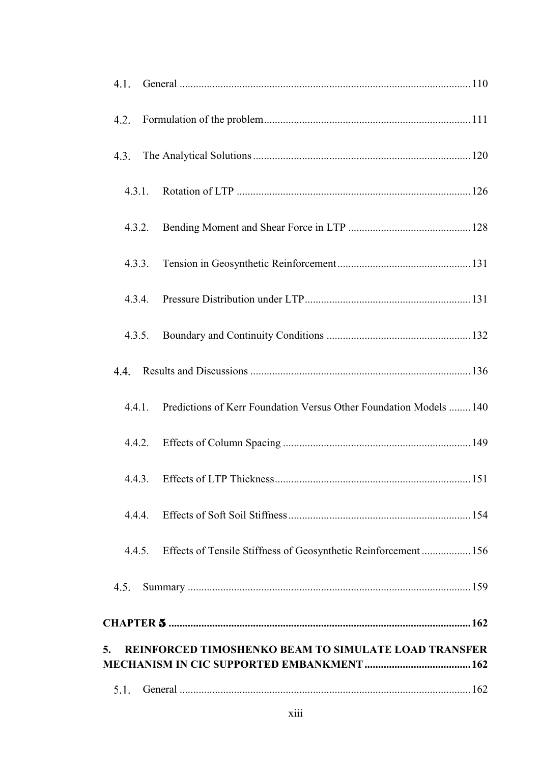| 4.1.   |                                                                    |
|--------|--------------------------------------------------------------------|
| 4.2.   |                                                                    |
| 4.3.   |                                                                    |
| 4.3.1. |                                                                    |
| 4.3.2. |                                                                    |
| 4.3.3. |                                                                    |
| 4.3.4. |                                                                    |
| 4.3.5. |                                                                    |
| 4.4.   |                                                                    |
| 4.4.1. | Predictions of Kerr Foundation Versus Other Foundation Models  140 |
| 4.4.2. |                                                                    |
|        | 4.4.3. Effects of LTP Thickness<br>151                             |
| 4.4.4. |                                                                    |
| 4.4.5. | Effects of Tensile Stiffness of Geosynthetic Reinforcement 156     |
| 4.5.   |                                                                    |
|        |                                                                    |
| 5.     | REINFORCED TIMOSHENKO BEAM TO SIMULATE LOAD TRANSFER               |
| 5.1.   |                                                                    |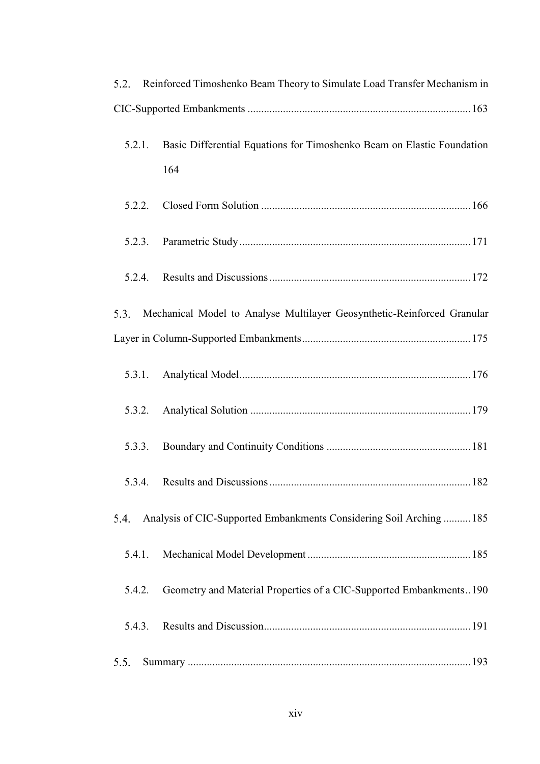| 5.2.   |        | Reinforced Timoshenko Beam Theory to Simulate Load Transfer Mechanism in      |  |  |  |  |  |
|--------|--------|-------------------------------------------------------------------------------|--|--|--|--|--|
|        |        |                                                                               |  |  |  |  |  |
|        | 5.2.1. | Basic Differential Equations for Timoshenko Beam on Elastic Foundation<br>164 |  |  |  |  |  |
|        | 5.2.2. |                                                                               |  |  |  |  |  |
| 5.2.3. |        |                                                                               |  |  |  |  |  |
|        | 5.2.4. |                                                                               |  |  |  |  |  |
| 5.3.   |        | Mechanical Model to Analyse Multilayer Geosynthetic-Reinforced Granular       |  |  |  |  |  |
|        |        |                                                                               |  |  |  |  |  |
|        | 5.3.1. |                                                                               |  |  |  |  |  |
|        | 5.3.2. |                                                                               |  |  |  |  |  |
| 5.3.3. |        |                                                                               |  |  |  |  |  |
|        |        | .182                                                                          |  |  |  |  |  |
| 5.4.   |        | Analysis of CIC-Supported Embankments Considering Soil Arching  185           |  |  |  |  |  |
| 5.4.1. |        |                                                                               |  |  |  |  |  |
| 5.4.2. |        | Geometry and Material Properties of a CIC-Supported Embankments190            |  |  |  |  |  |
| 5.4.3. |        |                                                                               |  |  |  |  |  |
| 5.5.   |        |                                                                               |  |  |  |  |  |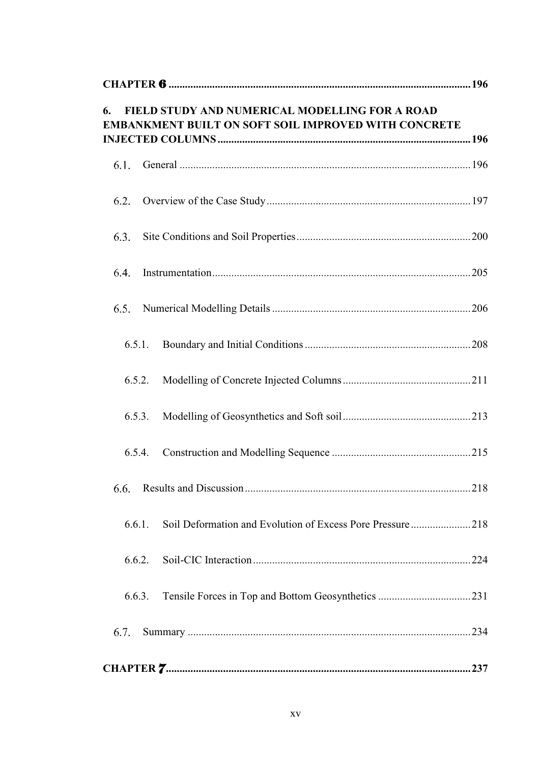| FIELD STUDY AND NUMERICAL MODELLING FOR A ROAD<br>6.<br>EMBANKMENT BUILT ON SOFT SOIL IMPROVED WITH CONCRETE |  |
|--------------------------------------------------------------------------------------------------------------|--|
| 6.1.                                                                                                         |  |
| 6.2.                                                                                                         |  |
| 6.3.                                                                                                         |  |
| 6.4.                                                                                                         |  |
| 6.5.                                                                                                         |  |
| 6.5.1.                                                                                                       |  |
| 6.5.2.                                                                                                       |  |
| 6.5.3.                                                                                                       |  |
| 6.5.4.                                                                                                       |  |
| 6.6.                                                                                                         |  |
| Soil Deformation and Evolution of Excess Pore Pressure218<br>6.6.1.                                          |  |
| 6.6.2.                                                                                                       |  |
| 6.6.3.                                                                                                       |  |
| 6.7.                                                                                                         |  |
|                                                                                                              |  |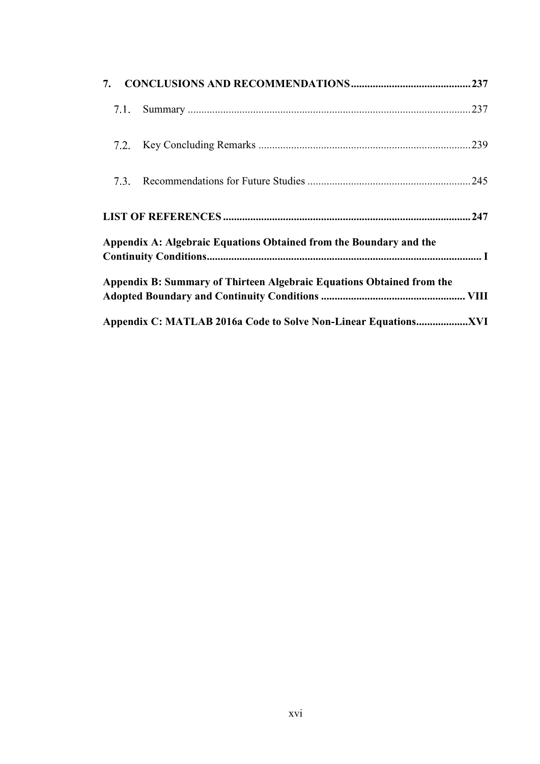| 7. |      |                                                                       |  |
|----|------|-----------------------------------------------------------------------|--|
|    | 7.1. |                                                                       |  |
|    |      |                                                                       |  |
|    | 7.3. |                                                                       |  |
|    |      |                                                                       |  |
|    |      | Appendix A: Algebraic Equations Obtained from the Boundary and the    |  |
|    |      | Appendix B: Summary of Thirteen Algebraic Equations Obtained from the |  |
|    |      |                                                                       |  |
|    |      |                                                                       |  |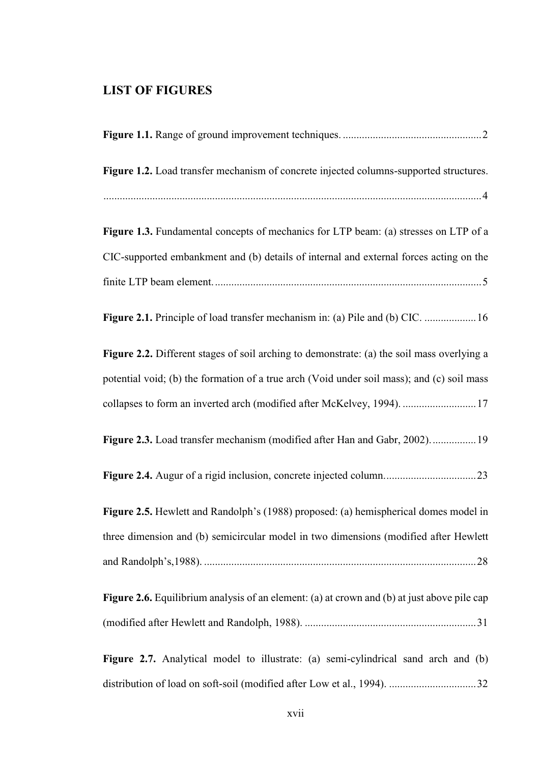## <span id="page-16-0"></span>**LIST OF FIGURES**

| Figure 1.2. Load transfer mechanism of concrete injected columns-supported structures.             |
|----------------------------------------------------------------------------------------------------|
|                                                                                                    |
| Figure 1.3. Fundamental concepts of mechanics for LTP beam: (a) stresses on LTP of a               |
| CIC-supported embankment and (b) details of internal and external forces acting on the             |
|                                                                                                    |
| Figure 2.1. Principle of load transfer mechanism in: (a) Pile and (b) CIC.  16                     |
| Figure 2.2. Different stages of soil arching to demonstrate: (a) the soil mass overlying a         |
| potential void; (b) the formation of a true arch (Void under soil mass); and (c) soil mass         |
| collapses to form an inverted arch (modified after McKelvey, 1994).  17                            |
| Figure 2.3. Load transfer mechanism (modified after Han and Gabr, 2002) 19                         |
|                                                                                                    |
| Figure 2.5. Hewlett and Randolph's (1988) proposed: (a) hemispherical domes model in               |
| three dimension and (b) semicircular model in two dimensions (modified after Hewlett               |
|                                                                                                    |
| <b>Figure 2.6.</b> Equilibrium analysis of an element: (a) at crown and (b) at just above pile cap |
|                                                                                                    |
| Figure 2.7. Analytical model to illustrate: (a) semi-cylindrical sand arch and (b)                 |
|                                                                                                    |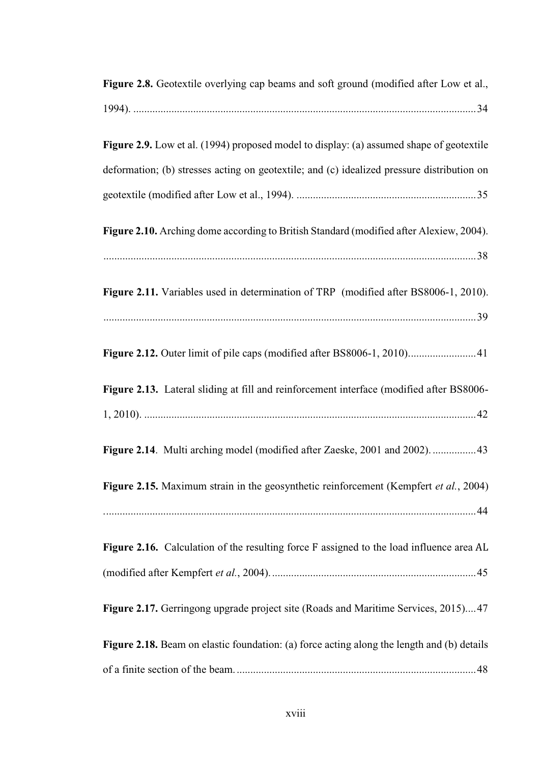| Figure 2.8. Geotextile overlying cap beams and soft ground (modified after Low et al.,          |
|-------------------------------------------------------------------------------------------------|
|                                                                                                 |
| <b>Figure 2.9.</b> Low et al. (1994) proposed model to display: (a) assumed shape of geotextile |
| deformation; (b) stresses acting on geotextile; and (c) idealized pressure distribution on      |
|                                                                                                 |
| Figure 2.10. Arching dome according to British Standard (modified after Alexiew, 2004).         |
|                                                                                                 |
| Figure 2.11. Variables used in determination of TRP (modified after BS8006-1, 2010).            |
|                                                                                                 |
| Figure 2.12. Outer limit of pile caps (modified after BS8006-1, 2010) 41                        |
| Figure 2.13. Lateral sliding at fill and reinforcement interface (modified after BS8006-        |
|                                                                                                 |
| Figure 2.14. Multi arching model (modified after Zaeske, 2001 and 2002).  43                    |
| Figure 2.15. Maximum strain in the geosynthetic reinforcement (Kempfert et al., 2004)           |
|                                                                                                 |
| Figure 2.16. Calculation of the resulting force F assigned to the load influence area AL        |
|                                                                                                 |
| Figure 2.17. Gerringong upgrade project site (Roads and Maritime Services, 2015)47              |
| Figure 2.18. Beam on elastic foundation: (a) force acting along the length and (b) details      |
|                                                                                                 |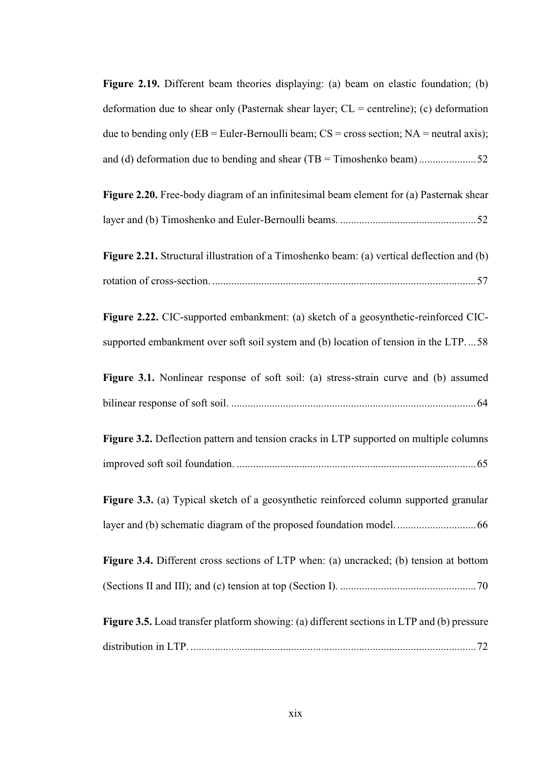| Figure 2.19. Different beam theories displaying: (a) beam on elastic foundation; (b)                                                                                       |
|----------------------------------------------------------------------------------------------------------------------------------------------------------------------------|
| deformation due to shear only (Pasternak shear layer; $CL =$ centreline); (c) deformation                                                                                  |
| due to bending only (EB = Euler-Bernoulli beam; $CS$ = cross section; $NA$ = neutral axis);                                                                                |
| and (d) deformation due to bending and shear $(TB = Timoshenko beam)$ 52                                                                                                   |
| Figure 2.20. Free-body diagram of an infinitesimal beam element for (a) Pasternak shear                                                                                    |
|                                                                                                                                                                            |
| Figure 2.21. Structural illustration of a Timoshenko beam: (a) vertical deflection and (b)                                                                                 |
| Figure 2.22. CIC-supported embankment: (a) sketch of a geosynthetic-reinforced CIC-<br>supported embankment over soft soil system and (b) location of tension in the LTP58 |
| Figure 3.1. Nonlinear response of soft soil: (a) stress-strain curve and (b) assumed                                                                                       |
| Figure 3.2. Deflection pattern and tension cracks in LTP supported on multiple columns                                                                                     |
| Figure 3.3. (a) Typical sketch of a geosynthetic reinforced column supported granular                                                                                      |
| Figure 3.4. Different cross sections of LTP when: (a) uncracked; (b) tension at bottom                                                                                     |
| Figure 3.5. Load transfer platform showing: (a) different sections in LTP and (b) pressure                                                                                 |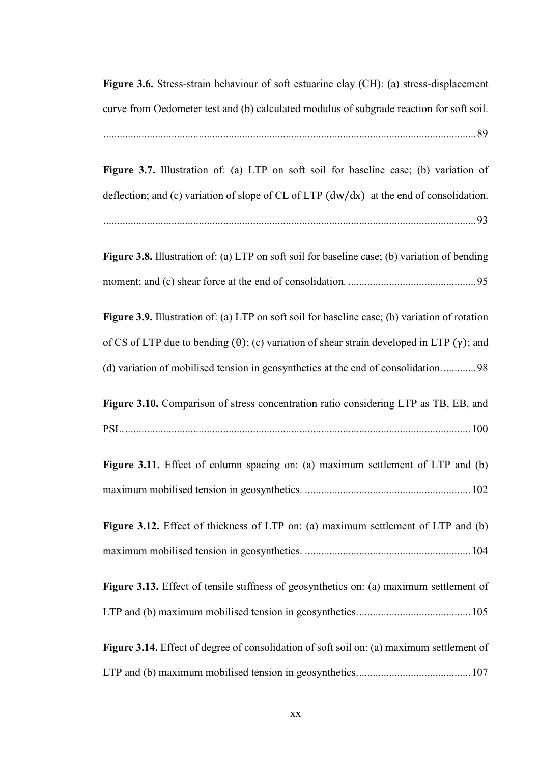**Figure 3.6.** Stress-strain behaviour of soft estuarine clay (CH): (a) stress-displacement curve from Oedometer test and (b) calculated modulus of subgrade reaction for soft soil.

.........................................................................................................................................89

**Figure 3.7.** Illustration of: (a) LTP on soft soil for baseline case; (b) variation of deflection; and (c) variation of slope of CL of LTP (dw/dx) at the end of consolidation. .........................................................................................................................................93

**Figure 3.8.** Illustration of: (a) LTP on soft soil for baseline case; (b) variation of bending moment; and (c) shear force at the end of consolidation. ...............................................95

**Figure 3.9.** Illustration of: (a) LTP on soft soil for baseline case; (b) variation of rotation of CS of LTP due to bending  $(\theta)$ ; (c) variation of shear strain developed in LTP (γ); and (d) variation of mobilised tension in geosynthetics at the end of consolidation.............98

**Figure 3.10.** Comparison of stress concentration ratio considering LTP as TB, EB, and PSL................................................................................................................................100

|  |  |  |  | Figure 3.11. Effect of column spacing on: (a) maximum settlement of LTP and (b) |  |  |
|--|--|--|--|---------------------------------------------------------------------------------|--|--|
|  |  |  |  |                                                                                 |  |  |

**Figure 3.12.** Effect of thickness of LTP on: (a) maximum settlement of LTP and (b) maximum mobilised tension in geosynthetics. .............................................................104

**Figure 3.13.** Effect of tensile stiffness of geosynthetics on: (a) maximum settlement of LTP and (b) maximum mobilised tension in geosynthetics..........................................105

**Figure 3.14.** Effect of degree of consolidation of soft soil on: (a) maximum settlement of LTP and (b) maximum mobilised tension in geosynthetics..........................................107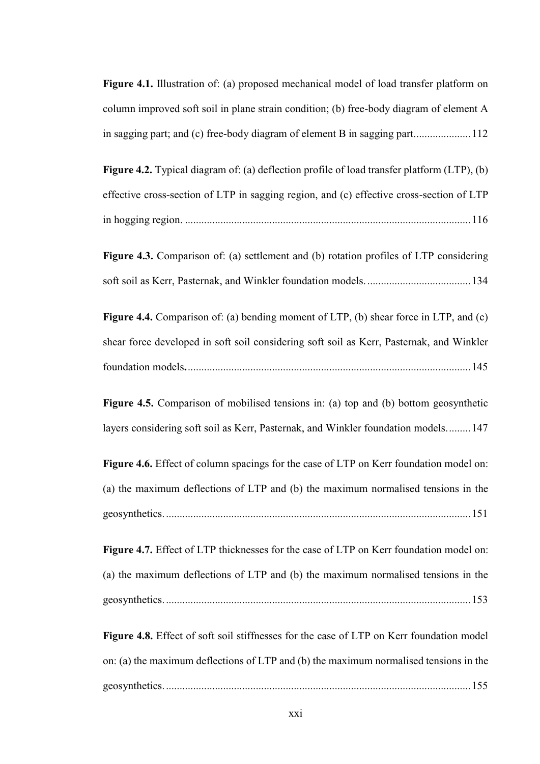**Figure 4.1.** Illustration of: (a) proposed mechanical model of load transfer platform on column improved soft soil in plane strain condition; (b) free-body diagram of element A in sagging part; and (c) free-body diagram of element B in sagging part.....................112

**Figure 4.2.** Typical diagram of: (a) deflection profile of load transfer platform (LTP), (b) effective cross-section of LTP in sagging region, and (c) effective cross-section of LTP in hogging region. .........................................................................................................116

**Figure 4.3.** Comparison of: (a) settlement and (b) rotation profiles of LTP considering soft soil as Kerr, Pasternak, and Winkler foundation models.......................................134

**Figure 4.4.** Comparison of: (a) bending moment of LTP, (b) shear force in LTP, and (c) shear force developed in soft soil considering soft soil as Kerr, Pasternak, and Winkler foundation models**.**........................................................................................................145

**Figure 4.5.** Comparison of mobilised tensions in: (a) top and (b) bottom geosynthetic layers considering soft soil as Kerr, Pasternak, and Winkler foundation models.........147

**Figure 4.6.** Effect of column spacings for the case of LTP on Kerr foundation model on: (a) the maximum deflections of LTP and (b) the maximum normalised tensions in the geosynthetics.................................................................................................................151

**Figure 4.7.** Effect of LTP thicknesses for the case of LTP on Kerr foundation model on: (a) the maximum deflections of LTP and (b) the maximum normalised tensions in the geosynthetics.................................................................................................................153

**Figure 4.8.** Effect of soft soil stiffnesses for the case of LTP on Kerr foundation model on: (a) the maximum deflections of LTP and (b) the maximum normalised tensions in the geosynthetics.................................................................................................................155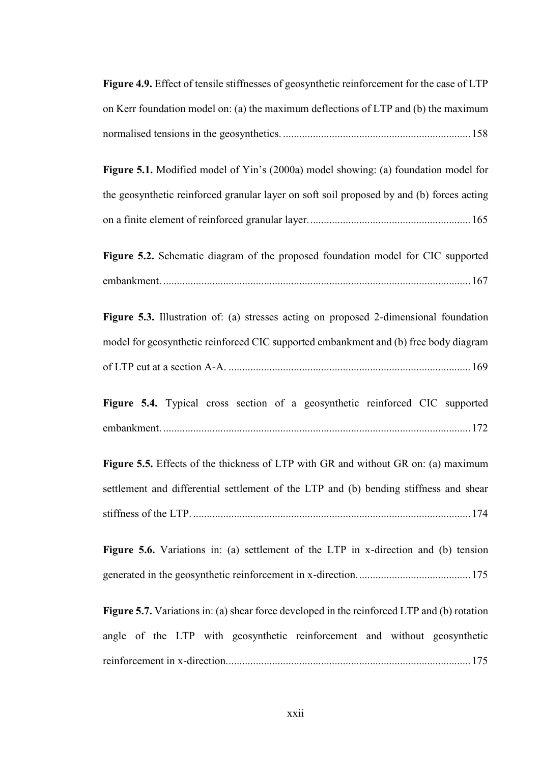| Figure 4.9. Effect of tensile stiffnesses of geosynthetic reinforcement for the case of LTP        |
|----------------------------------------------------------------------------------------------------|
| on Kerr foundation model on: (a) the maximum deflections of LTP and (b) the maximum                |
|                                                                                                    |
| Figure 5.1. Modified model of Yin's (2000a) model showing: (a) foundation model for                |
| the geosynthetic reinforced granular layer on soft soil proposed by and (b) forces acting          |
|                                                                                                    |
| Figure 5.2. Schematic diagram of the proposed foundation model for CIC supported                   |
|                                                                                                    |
| Figure 5.3. Illustration of: (a) stresses acting on proposed 2-dimensional foundation              |
| model for geosynthetic reinforced CIC supported embankment and (b) free body diagram               |
|                                                                                                    |
| Figure 5.4. Typical cross section of a geosynthetic reinforced CIC supported                       |
|                                                                                                    |
| Figure 5.5. Effects of the thickness of LTP with GR and without GR on: (a) maximum                 |
| settlement and differential settlement of the LTP and (b) bending stiffness and shear              |
|                                                                                                    |
| Figure 5.6. Variations in: (a) settlement of the LTP in x-direction and (b) tension                |
|                                                                                                    |
| <b>Figure 5.7.</b> Variations in: (a) shear force developed in the reinforced LTP and (b) rotation |
| angle of the LTP with geosynthetic reinforcement and without geosynthetic                          |
|                                                                                                    |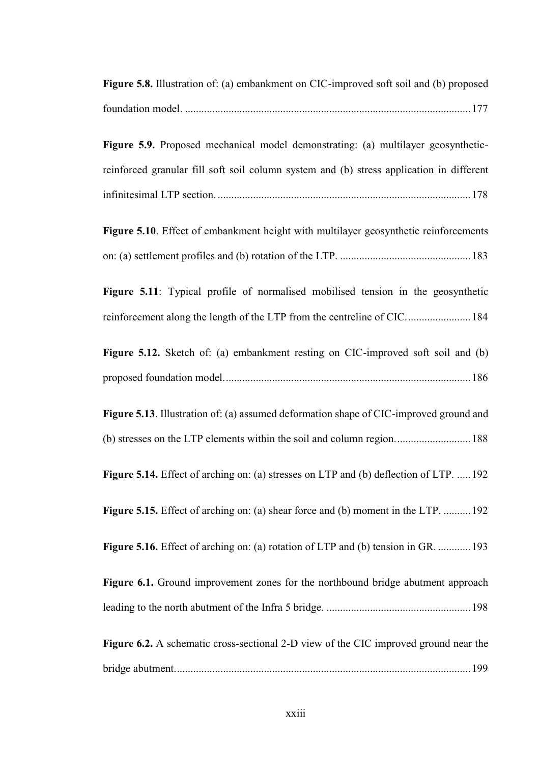| <b>Figure 5.8.</b> Illustration of: (a) embankment on CIC-improved soft soil and (b) proposed |  |
|-----------------------------------------------------------------------------------------------|--|
|                                                                                               |  |
| <b>Figure 5.9.</b> Proposed mechanical model demonstrating: (a) multilayer geosynthetic-      |  |

reinforced granular fill soft soil column system and (b) stress application in different

Figure 5.10. Effect of embankment height with multilayer geosynthetic reinforcements on: (a) settlement profiles and (b) rotation of the LTP. ................................................183

Figure 5.11: Typical profile of normalised mobilised tension in the geosynthetic reinforcement along the length of the LTP from the centreline of CIC........................184

**Figure 5.12.** Sketch of: (a) embankment resting on CIC-improved soft soil and (b) proposed foundation model...........................................................................................186

**Figure 5.13**. Illustration of: (a) assumed deformation shape of CIC-improved ground and (b) stresses on the LTP elements within the soil and column region............................188

**Figure 5.14.** Effect of arching on: (a) stresses on LTP and (b) deflection of LTP. .....192

**Figure 5.15.** Effect of arching on: (a) shear force and (b) moment in the LTP. .......... 192

**Figure 5.16.** Effect of arching on: (a) rotation of LTP and (b) tension in GR. ............. 193

**Figure 6.1.** Ground improvement zones for the northbound bridge abutment approach leading to the north abutment of the Infra 5 bridge. .....................................................198

**Figure 6.2.** A schematic cross-sectional 2-D view of the CIC improved ground near the bridge abutment.............................................................................................................199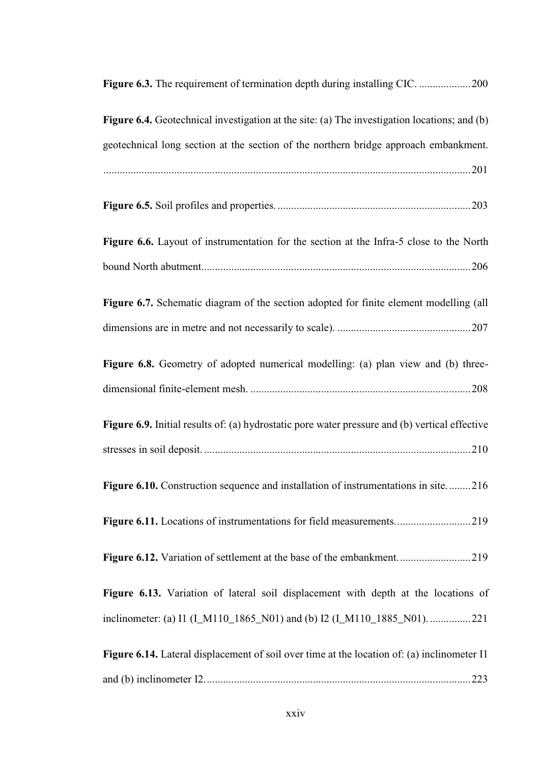| rigure 6.5. The requirement of termination depth during motaling Crettminimining 200                  |
|-------------------------------------------------------------------------------------------------------|
| <b>Figure 6.4.</b> Geotechnical investigation at the site: (a) The investigation locations; and (b)   |
| geotechnical long section at the section of the northern bridge approach embankment.                  |
|                                                                                                       |
|                                                                                                       |
| Figure 6.6. Layout of instrumentation for the section at the Infra-5 close to the North               |
|                                                                                                       |
| Figure 6.7. Schematic diagram of the section adopted for finite element modelling (all                |
|                                                                                                       |
| Figure 6.8. Geometry of adopted numerical modelling: (a) plan view and (b) three-                     |
|                                                                                                       |
| <b>Figure 6.9.</b> Initial results of: (a) hydrostatic pore water pressure and (b) vertical effective |
|                                                                                                       |
| Figure 6.10. Construction sequence and installation of instrumentations in site216                    |
| Figure 6.11. Locations of instrumentations for field measurements219                                  |
| Figure 6.12. Variation of settlement at the base of the embankment219                                 |
| Figure 6.13. Variation of lateral soil displacement with depth at the locations of                    |
| inclinometer: (a) I1 (I_M110_1865_N01) and (b) I2 (I_M110_1885_N01). 221                              |
| <b>Figure 6.14.</b> Lateral displacement of soil over time at the location of: (a) inclinometer I1    |
|                                                                                                       |

**Figure 6.3.** The requirement of termination depth during installing CIC. ...................200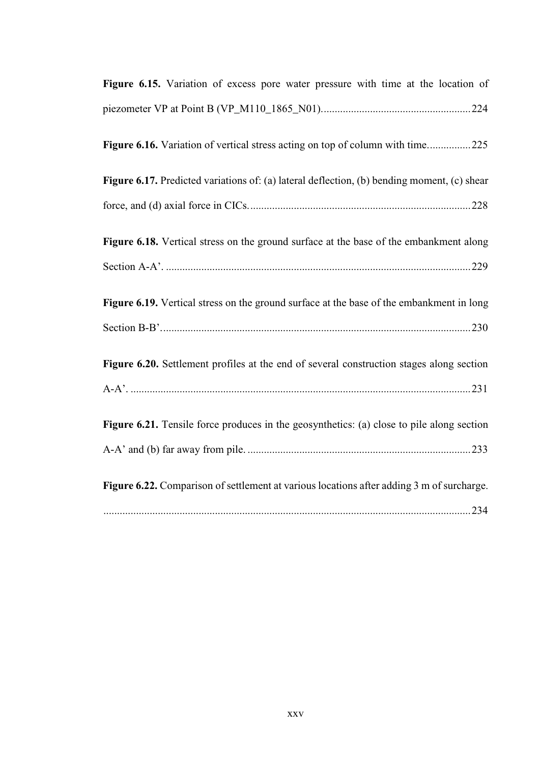| Figure 6.15. Variation of excess pore water pressure with time at the location of           |
|---------------------------------------------------------------------------------------------|
|                                                                                             |
| Figure 6.16. Variation of vertical stress acting on top of column with time225              |
| Figure 6.17. Predicted variations of: (a) lateral deflection, (b) bending moment, (c) shear |
|                                                                                             |
| Figure 6.18. Vertical stress on the ground surface at the base of the embankment along      |
|                                                                                             |
| Figure 6.19. Vertical stress on the ground surface at the base of the embankment in long    |
|                                                                                             |
| Figure 6.20. Settlement profiles at the end of several construction stages along section    |
|                                                                                             |
| Figure 6.21. Tensile force produces in the geosynthetics: (a) close to pile along section   |
|                                                                                             |
| Figure 6.22. Comparison of settlement at various locations after adding 3 m of surcharge.   |
|                                                                                             |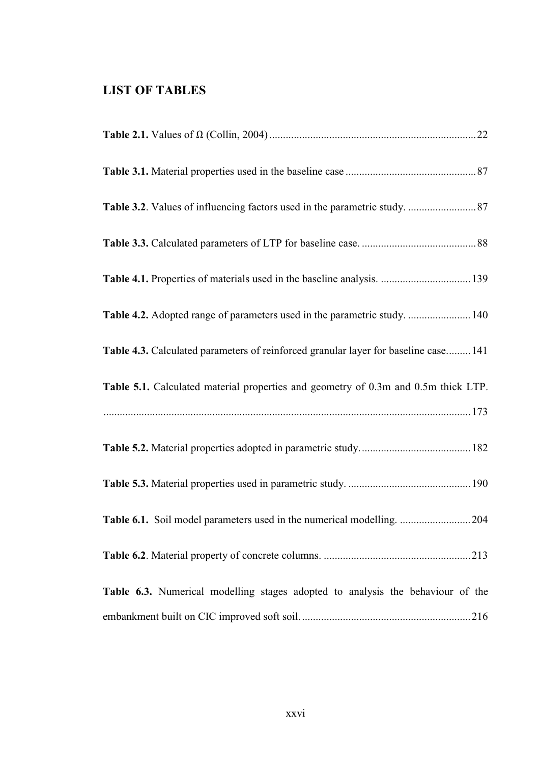## <span id="page-25-0"></span>**LIST OF TABLES**

| Table 4.1. Properties of materials used in the baseline analysis.  139              |
|-------------------------------------------------------------------------------------|
| Table 4.2. Adopted range of parameters used in the parametric study.  140           |
| Table 4.3. Calculated parameters of reinforced granular layer for baseline case 141 |
| Table 5.1. Calculated material properties and geometry of 0.3m and 0.5m thick LTP.  |
|                                                                                     |
|                                                                                     |
|                                                                                     |
| Table 6.1. Soil model parameters used in the numerical modelling. 204               |
|                                                                                     |
| Table 6.3. Numerical modelling stages adopted to analysis the behaviour of the      |
|                                                                                     |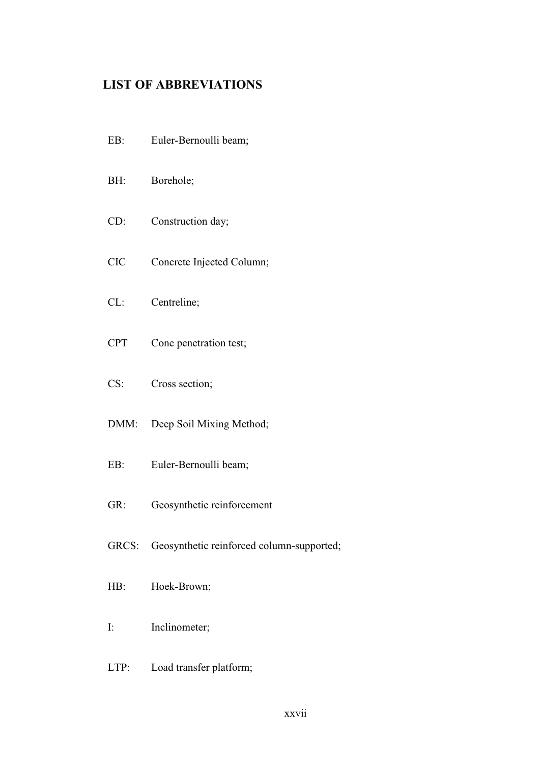## <span id="page-26-0"></span>**LIST OF ABBREVIATIONS**

- EB: Euler-Bernoulli beam; BH: Borehole; CD: Construction day; CIC Concrete Injected Column; CL: Centreline; CPT Cone penetration test; CS: Cross section; DMM: Deep Soil Mixing Method; EB: Euler-Bernoulli beam; GR: Geosynthetic reinforcement GRCS: Geosynthetic reinforced column-supported; HB: Hoek-Brown; I: Inclinometer;
- LTP: Load transfer platform;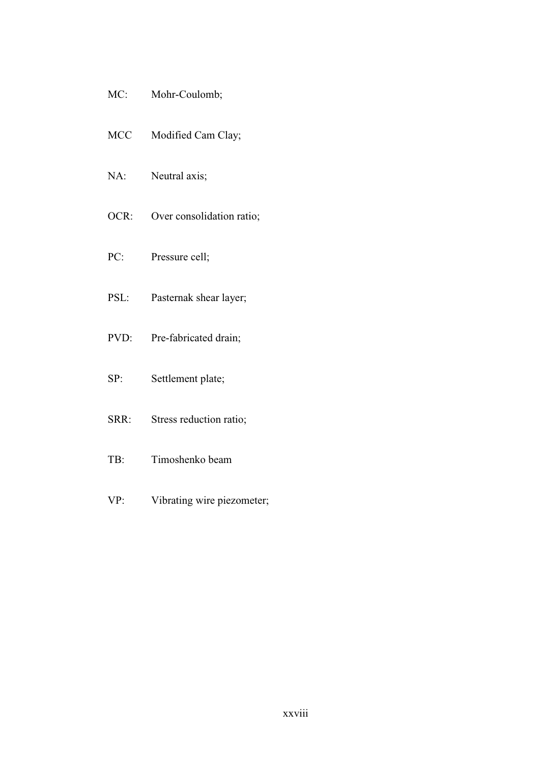- MC: Mohr-Coulomb;
- MCC Modified Cam Clay;
- NA: Neutral axis;
- OCR: Over consolidation ratio;
- PC: Pressure cell;
- PSL: Pasternak shear layer;
- PVD: Pre-fabricated drain;
- SP: Settlement plate;
- SRR: Stress reduction ratio;
- TB: Timoshenko beam
- VP: Vibrating wire piezometer;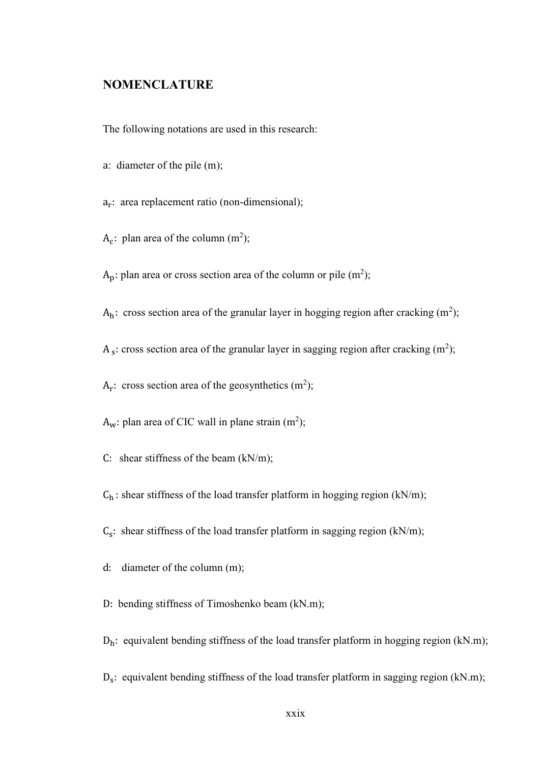### <span id="page-28-0"></span>**NOMENCLATURE**

The following notations are used in this research:

- a: diameter of the pile (m);
- a<sub>r</sub>: area replacement ratio (non-dimensional);
- $A_c$ : plan area of the column (m<sup>2</sup>);

 $A_p$ : plan area or cross section area of the column or pile (m<sup>2</sup>);

 $A_h$ : cross section area of the granular layer in hogging region after cracking  $(m^2)$ ;

 $A_s$ : cross section area of the granular layer in sagging region after cracking (m<sup>2</sup>);

 $A_r$ : cross section area of the geosynthetics (m<sup>2</sup>);

 $A_w$ : plan area of CIC wall in plane strain (m<sup>2</sup>);

C: shear stiffness of the beam  $(kN/m)$ ;

 $C_h$ : shear stiffness of the load transfer platform in hogging region (kN/m);

 $C_s$ : shear stiffness of the load transfer platform in sagging region (kN/m);

d: diameter of the column (m);

D: bending stiffness of Timoshenko beam (kN.m);

 $D_h$ : equivalent bending stiffness of the load transfer platform in hogging region (kN.m);

D<sub>s</sub>: equivalent bending stiffness of the load transfer platform in sagging region (kN.m);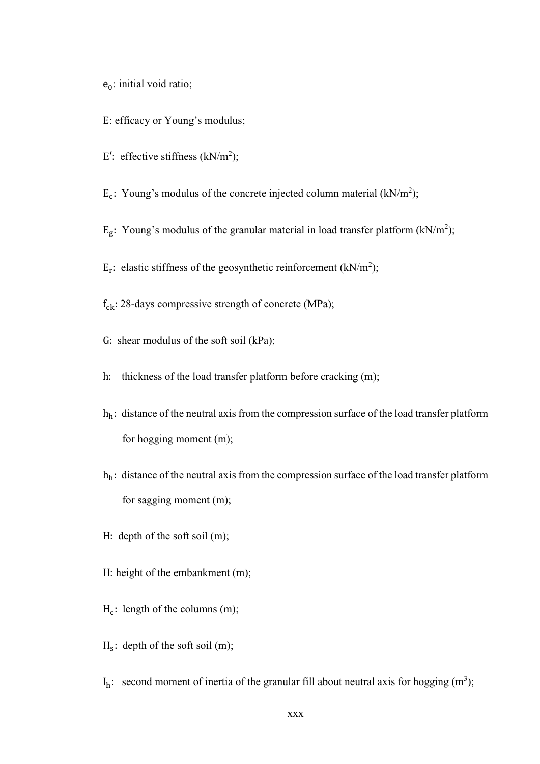$e_0$ : initial void ratio;

- E: efficacy or Young's modulus;
- E': effective stiffness  $(kN/m^2)$ ;
- $E_c$ : Young's modulus of the concrete injected column material (kN/m<sup>2</sup>);
- E<sub>g</sub>: Young's modulus of the granular material in load transfer platform (kN/m<sup>2</sup>);
- $E_r$ : elastic stiffness of the geosynthetic reinforcement (kN/m<sup>2</sup>);
- $f_{ck}$ : 28-days compressive strength of concrete (MPa);
- G: shear modulus of the soft soil (kPa);
- h: thickness of the load transfer platform before cracking (m);
- hh: distance of the neutral axis from the compression surface of the load transfer platform for hogging moment (m);
- $h_h$ : distance of the neutral axis from the compression surface of the load transfer platform for sagging moment (m);
- H: depth of the soft soil (m);
- H: height of the embankment (m);
- $H_c$ : length of the columns (m);
- $H_s$ : depth of the soft soil (m);
- $I_h$ : second moment of inertia of the granular fill about neutral axis for hogging (m<sup>3</sup>);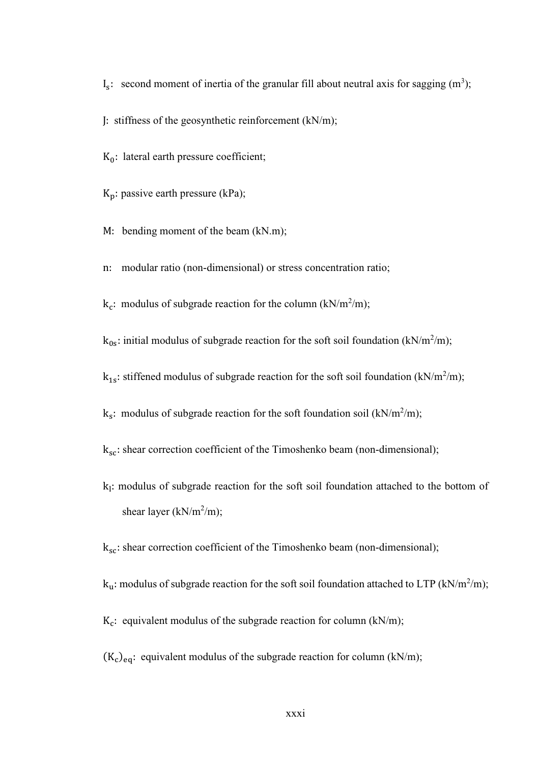$I_s$ : second moment of inertia of the granular fill about neutral axis for sagging  $(m^3)$ ;

J: stiffness of the geosynthetic reinforcement (kN/m);

 $K_0$ : lateral earth pressure coefficient;

 $K_p$ : passive earth pressure (kPa);

M: bending moment of the beam (kN.m);

n: modular ratio (non-dimensional) or stress concentration ratio;

 $k_c$ : modulus of subgrade reaction for the column (kN/m<sup>2</sup>/m);

 $k_{0s}$ : initial modulus of subgrade reaction for the soft soil foundation (kN/m<sup>2</sup>/m);

 $k_{1s}$ : stiffened modulus of subgrade reaction for the soft soil foundation (kN/m<sup>2</sup>/m);

 $k_s$ : modulus of subgrade reaction for the soft foundation soil (kN/m<sup>2</sup>/m);

 $k_{sc}$ : shear correction coefficient of the Timoshenko beam (non-dimensional);

 $k<sub>l</sub>$ : modulus of subgrade reaction for the soft soil foundation attached to the bottom of shear layer ( $kN/m^2/m$ );

 $k_{\rm sc}$ : shear correction coefficient of the Timoshenko beam (non-dimensional);

k<sub>u</sub>: modulus of subgrade reaction for the soft soil foundation attached to LTP (kN/m<sup>2</sup>/m);

 $K_c$ : equivalent modulus of the subgrade reaction for column (kN/m);

 $(K_c)_{eq}$ : equivalent modulus of the subgrade reaction for column (kN/m);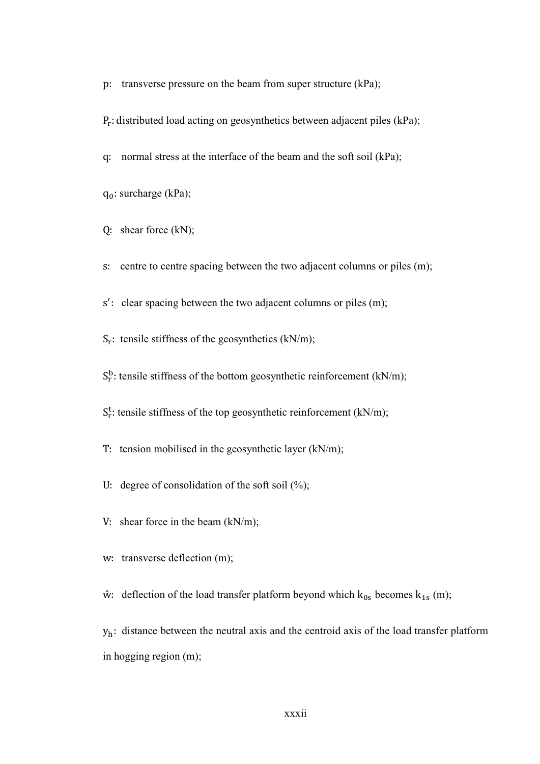p: transverse pressure on the beam from super structure (kPa);

Pr : distributed load acting on geosynthetics between adjacent piles (kPa);

q: normal stress at the interface of the beam and the soft soil (kPa);

 $q_0$ : surcharge (kPa);

Q: shear force (kN);

s: centre to centre spacing between the two adjacent columns or piles (m);

s ′ : clear spacing between the two adjacent columns or piles (m);

 $S_r$ : tensile stiffness of the geosynthetics (kN/m);

 $S_r^b$ : tensile stiffness of the bottom geosynthetic reinforcement (kN/m);

S<sup>t</sup>: tensile stiffness of the top geosynthetic reinforcement (kN/m);

T: tension mobilised in the geosynthetic layer (kN/m);

U: degree of consolidation of the soft soil  $(\%)$ ;

V: shear force in the beam (kN/m);

w: transverse deflection (m);

 $\hat{w}$ : deflection of the load transfer platform beyond which  $k_{0s}$  becomes  $k_{1s}$  (m);

 $y_h$ : distance between the neutral axis and the centroid axis of the load transfer platform in hogging region (m);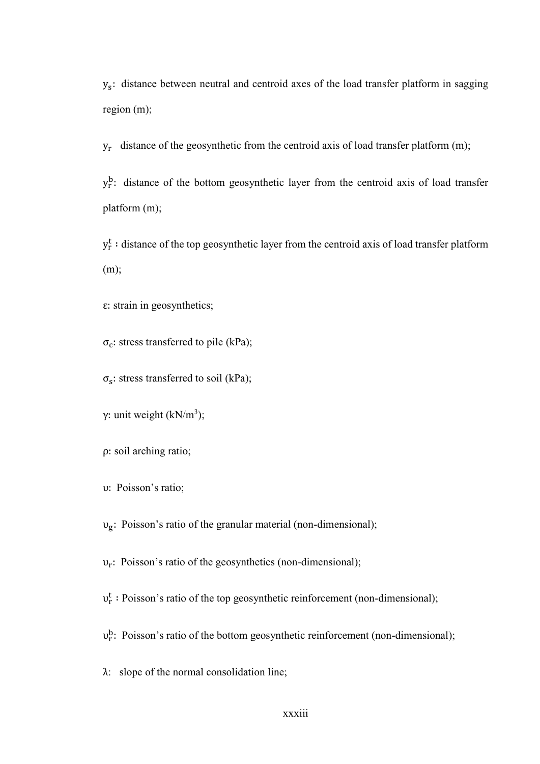ys : distance between neutral and centroid axes of the load transfer platform in sagging region (m);

yr distance of the geosynthetic from the centroid axis of load transfer platform (m);

y<sup>b</sup>: distance of the bottom geosynthetic layer from the centroid axis of load transfer platform (m);

 $y_r^t$ : distance of the top geosynthetic layer from the centroid axis of load transfer platform (m);

ε: strain in geosynthetics;

 $\sigma_c$ : stress transferred to pile (kPa);

 $\sigma_s$ : stress transferred to soil (kPa);

γ: unit weight (kN/m<sup>3</sup>);

ρ: soil arching ratio;

υ: Poisson's ratio;

υg : Poisson's ratio of the granular material (non-dimensional);

υr : Poisson's ratio of the geosynthetics (non-dimensional);

υr t ∶ Poisson's ratio of the top geosynthetic reinforcement (non-dimensional);

 $v_r^b$ : Poisson's ratio of the bottom geosynthetic reinforcement (non-dimensional);

λ: slope of the normal consolidation line;

xxxiii